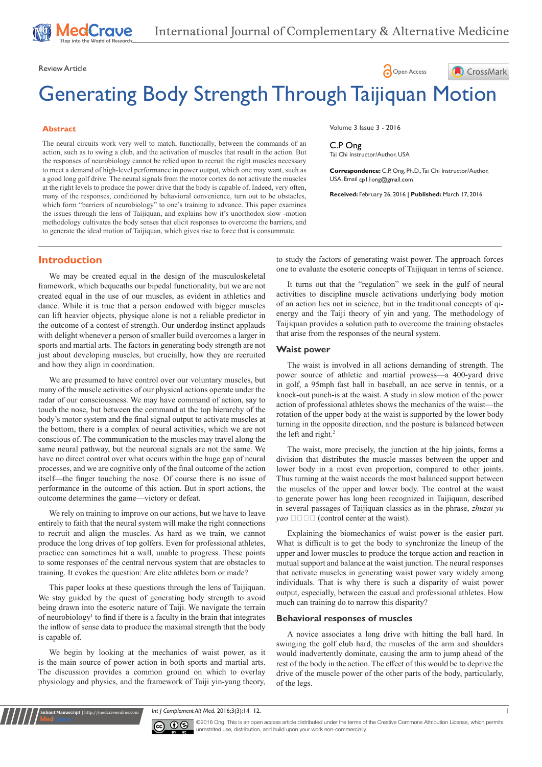Review Article **Contract Contract Contract Contract Contract Contract Contract Contract Contract Contract Contract Contract Contract Contract Contract Contract Contract Contract Contract Contract Contract Contract Contract** 

# Generating Body Strength Through Taijiquan Motion

### **Abstract**

The neural circuits work very well to match, functionally, between the commands of an action, such as to swing a club, and the activation of muscles that result in the action. But the responses of neurobiology cannot be relied upon to recruit the right muscles necessary to meet a demand of high-level performance in power output, which one may want, such as a good long golf drive. The neural signals from the motor cortex do not activate the muscles at the right levels to produce the power drive that the body is capable of. Indeed, very often, many of the responses, conditioned by behavioral convenience, turn out to be obstacles, which form "barriers of neurobiology" to one's training to advance. This paper examines the issues through the lens of Taijiquan, and explains how it's unorthodox slow -motion methodology cultivates the body senses that elicit responses to overcome the barriers, and to generate the ideal motion of Taijiquan, which gives rise to force that is consummate.

Volume 3 Issue 3 - 2016

C.P Ong Tai Chi Instructor/Author, USA

**Correspondence:** C.P. Ong, Ph.D., Tai Chi Instructor/Author, USA, Email cp | long@gmail.com

CrossMark

**Received:** February 26, 2016 | **Published:** March 17, 2016

### **Introduction**

We may be created equal in the design of the musculoskeletal framework, which bequeaths our bipedal functionality, but we are not created equal in the use of our muscles, as evident in athletics and dance. While it is true that a person endowed with bigger muscles can lift heavier objects, physique alone is not a reliable predictor in the outcome of a contest of strength. Our underdog instinct applauds with delight whenever a person of smaller build overcomes a larger in sports and martial arts. The factors in generating body strength are not just about developing muscles, but crucially, how they are recruited and how they align in coordination.

We are presumed to have control over our voluntary muscles, but many of the muscle activities of our physical actions operate under the radar of our consciousness. We may have command of action, say to touch the nose, but between the command at the top hierarchy of the body's motor system and the final signal output to activate muscles at the bottom, there is a complex of neural activities, which we are not conscious of. The communication to the muscles may travel along the same neural pathway, but the neuronal signals are not the same. We have no direct control over what occurs within the huge gap of neural processes, and we are cognitive only of the final outcome of the action itself—the finger touching the nose. Of course there is no issue of performance in the outcome of this action. But in sport actions, the outcome determines the game—victory or defeat.

We rely on training to improve on our actions, but we have to leave entirely to faith that the neural system will make the right connections to recruit and align the muscles. As hard as we train, we cannot produce the long drives of top golfers. Even for professional athletes, practice can sometimes hit a wall, unable to progress. These points to some responses of the central nervous system that are obstacles to training. It evokes the question: Are elite athletes born or made?

This paper looks at these questions through the lens of Taijiquan. We stay guided by the quest of generating body strength to avoid being drawn into the esoteric nature of Taiji. We navigate the terrain of neurobiology<sup>1</sup> to find if there is a faculty in the brain that integrates the inflow of sense data to produce the maximal strength that the body is capable of.

We begin by looking at the mechanics of waist power, as it is the main source of power action in both sports and martial arts. The discussion provides a common ground on which to overlay physiology and physics, and the framework of Taiji yin-yang theory,

**nit Manuscript** | http://medcraveonline.c

to study the factors of generating waist power. The approach forces one to evaluate the esoteric concepts of Taijiquan in terms of science.

It turns out that the "regulation" we seek in the gulf of neural activities to discipline muscle activations underlying body motion of an action lies not in science, but in the traditional concepts of qienergy and the Taiji theory of yin and yang. The methodology of Taijiquan provides a solution path to overcome the training obstacles that arise from the responses of the neural system.

### **Waist power**

The waist is involved in all actions demanding of strength. The power source of athletic and martial prowess—a 400-yard drive in golf, a 95mph fast ball in baseball, an ace serve in tennis, or a knock-out punch-is at the waist. A study in slow motion of the power action of professional athletes shows the mechanics of the waist—the rotation of the upper body at the waist is supported by the lower body turning in the opposite direction, and the posture is balanced between the left and right.<sup>2</sup>

The waist, more precisely, the junction at the hip joints, forms a division that distributes the muscle masses between the upper and lower body in a most even proportion, compared to other joints. Thus turning at the waist accords the most balanced support between the muscles of the upper and lower body. The control at the waist to generate power has long been recognized in Taijiquan, described in several passages of Taijiquan classics as in the phrase, *zhuzai yu yao*  $\Box$   $\Box$  (control center at the waist).

Explaining the biomechanics of waist power is the easier part. What is difficult is to get the body to synchronize the lineup of the upper and lower muscles to produce the torque action and reaction in mutual support and balance at the waist junction. The neural responses that activate muscles in generating waist power vary widely among individuals. That is why there is such a disparity of waist power output, especially, between the casual and professional athletes. How much can training do to narrow this disparity?

#### **Behavioral responses of muscles**

A novice associates a long drive with hitting the ball hard. In swinging the golf club hard, the muscles of the arm and shoulders would inadvertently dominate, causing the arm to jump ahead of the rest of the body in the action. The effect of this would be to deprive the drive of the muscle power of the other parts of the body, particularly, of the legs.

*Int J Complement Alt Med.* 2016;3(3):14‒12. 1



©2016 Ong. This is an open access article distributed under the terms of the Creative Commons Attribution License, which permits unrestrited use, distribution, and build upon your work non-commercially.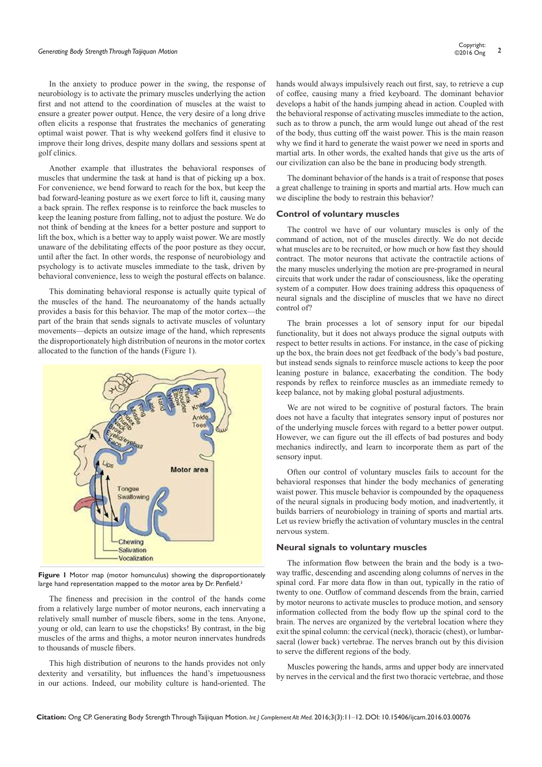# *Generating Body Strength Through Taijiquan Motion* **<sup>2</sup>** Copyright:

In the anxiety to produce power in the swing, the response of neurobiology is to activate the primary muscles underlying the action first and not attend to the coordination of muscles at the waist to ensure a greater power output. Hence, the very desire of a long drive often elicits a response that frustrates the mechanics of generating optimal waist power. That is why weekend golfers find it elusive to improve their long drives, despite many dollars and sessions spent at golf clinics.

Another example that illustrates the behavioral responses of muscles that undermine the task at hand is that of picking up a box. For convenience, we bend forward to reach for the box, but keep the bad forward-leaning posture as we exert force to lift it, causing many a back sprain. The reflex response is to reinforce the back muscles to keep the leaning posture from falling, not to adjust the posture. We do not think of bending at the knees for a better posture and support to lift the box, which is a better way to apply waist power. We are mostly unaware of the debilitating effects of the poor posture as they occur, until after the fact. In other words, the response of neurobiology and psychology is to activate muscles immediate to the task, driven by behavioral convenience, less to weigh the postural effects on balance.

This dominating behavioral response is actually quite typical of the muscles of the hand. The neuroanatomy of the hands actually provides a basis for this behavior. The map of the motor cortex—the part of the brain that sends signals to activate muscles of voluntary movements—depicts an outsize image of the hand, which represents the disproportionately high distribution of neurons in the motor cortex allocated to the function of the hands (Figure 1).



**Figure 1** Motor map (motor homunculus) showing the disproportionately large hand representation mapped to the motor area by Dr. Penfield.<sup>3</sup>

The fineness and precision in the control of the hands come from a relatively large number of motor neurons, each innervating a relatively small number of muscle fibers, some in the tens. Anyone, young or old, can learn to use the chopsticks! By contrast, in the big muscles of the arms and thighs, a motor neuron innervates hundreds to thousands of muscle fibers.

This high distribution of neurons to the hands provides not only dexterity and versatility, but influences the hand's impetuousness in our actions. Indeed, our mobility culture is hand-oriented. The hands would always impulsively reach out first, say, to retrieve a cup of coffee, causing many a fried keyboard. The dominant behavior develops a habit of the hands jumping ahead in action. Coupled with the behavioral response of activating muscles immediate to the action, such as to throw a punch, the arm would lunge out ahead of the rest of the body, thus cutting off the waist power. This is the main reason why we find it hard to generate the waist power we need in sports and martial arts. In other words, the exalted hands that give us the arts of our civilization can also be the bane in producing body strength.

The dominant behavior of the hands is a trait of response that poses a great challenge to training in sports and martial arts. How much can we discipline the body to restrain this behavior?

### **Control of voluntary muscles**

The control we have of our voluntary muscles is only of the command of action, not of the muscles directly. We do not decide what muscles are to be recruited, or how much or how fast they should contract. The motor neurons that activate the contractile actions of the many muscles underlying the motion are pre-programed in neural circuits that work under the radar of consciousness, like the operating system of a computer. How does training address this opaqueness of neural signals and the discipline of muscles that we have no direct control of?

The brain processes a lot of sensory input for our bipedal functionality, but it does not always produce the signal outputs with respect to better results in actions. For instance, in the case of picking up the box, the brain does not get feedback of the body's bad posture, but instead sends signals to reinforce muscle actions to keep the poor leaning posture in balance, exacerbating the condition. The body responds by reflex to reinforce muscles as an immediate remedy to keep balance, not by making global postural adjustments.

We are not wired to be cognitive of postural factors. The brain does not have a faculty that integrates sensory input of postures nor of the underlying muscle forces with regard to a better power output. However, we can figure out the ill effects of bad postures and body mechanics indirectly, and learn to incorporate them as part of the sensory input.

Often our control of voluntary muscles fails to account for the behavioral responses that hinder the body mechanics of generating waist power. This muscle behavior is compounded by the opaqueness of the neural signals in producing body motion, and inadvertently, it builds barriers of neurobiology in training of sports and martial arts. Let us review briefly the activation of voluntary muscles in the central nervous system.

### **Neural signals to voluntary muscles**

The information flow between the brain and the body is a twoway traffic, descending and ascending along columns of nerves in the spinal cord. Far more data flow in than out, typically in the ratio of twenty to one. Outflow of command descends from the brain, carried by motor neurons to activate muscles to produce motion, and sensory information collected from the body flow up the spinal cord to the brain. The nerves are organized by the vertebral location where they exit the spinal column: the cervical (neck), thoracic (chest), or lumbarsacral (lower back) vertebrae. The nerves branch out by this division to serve the different regions of the body.

Muscles powering the hands, arms and upper body are innervated by nerves in the cervical and the first two thoracic vertebrae, and those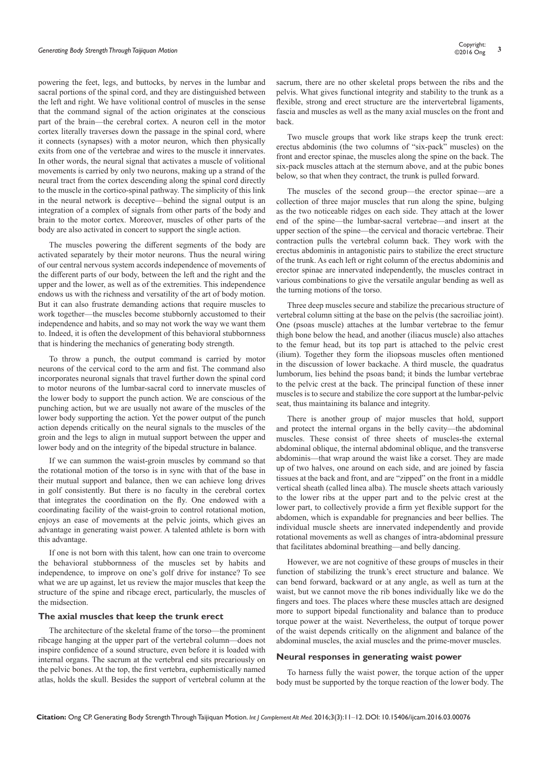powering the feet, legs, and buttocks, by nerves in the lumbar and sacral portions of the spinal cord, and they are distinguished between the left and right. We have volitional control of muscles in the sense that the command signal of the action originates at the conscious part of the brain—the cerebral cortex. A neuron cell in the motor cortex literally traverses down the passage in the spinal cord, where it connects (synapses) with a motor neuron, which then physically exits from one of the vertebrae and wires to the muscle it innervates. In other words, the neural signal that activates a muscle of volitional movements is carried by only two neurons, making up a strand of the neural tract from the cortex descending along the spinal cord directly to the muscle in the cortico-spinal pathway. The simplicity of this link in the neural network is deceptive—behind the signal output is an integration of a complex of signals from other parts of the body and brain to the motor cortex. Moreover, muscles of other parts of the body are also activated in concert to support the single action.

The muscles powering the different segments of the body are activated separately by their motor neurons. Thus the neural wiring of our central nervous system accords independence of movements of the different parts of our body, between the left and the right and the upper and the lower, as well as of the extremities. This independence endows us with the richness and versatility of the art of body motion. But it can also frustrate demanding actions that require muscles to work together—the muscles become stubbornly accustomed to their independence and habits, and so may not work the way we want them to. Indeed, it is often the development of this behavioral stubbornness that is hindering the mechanics of generating body strength.

To throw a punch, the output command is carried by motor neurons of the cervical cord to the arm and fist. The command also incorporates neuronal signals that travel further down the spinal cord to motor neurons of the lumbar-sacral cord to innervate muscles of the lower body to support the punch action. We are conscious of the punching action, but we are usually not aware of the muscles of the lower body supporting the action. Yet the power output of the punch action depends critically on the neural signals to the muscles of the groin and the legs to align in mutual support between the upper and lower body and on the integrity of the bipedal structure in balance.

If we can summon the waist-groin muscles by command so that the rotational motion of the torso is in sync with that of the base in their mutual support and balance, then we can achieve long drives in golf consistently. But there is no faculty in the cerebral cortex that integrates the coordination on the fly. One endowed with a coordinating facility of the waist-groin to control rotational motion, enjoys an ease of movements at the pelvic joints, which gives an advantage in generating waist power. A talented athlete is born with this advantage.

If one is not born with this talent, how can one train to overcome the behavioral stubbornness of the muscles set by habits and independence, to improve on one's golf drive for instance? To see what we are up against, let us review the major muscles that keep the structure of the spine and ribcage erect, particularly, the muscles of the midsection.

### **The axial muscles that keep the trunk erect**

The architecture of the skeletal frame of the torso—the prominent ribcage hanging at the upper part of the vertebral column—does not inspire confidence of a sound structure, even before it is loaded with internal organs. The sacrum at the vertebral end sits precariously on the pelvic bones. At the top, the first vertebra, euphemistically named atlas, holds the skull. Besides the support of vertebral column at the sacrum, there are no other skeletal props between the ribs and the pelvis. What gives functional integrity and stability to the trunk as a flexible, strong and erect structure are the intervertebral ligaments, fascia and muscles as well as the many axial muscles on the front and back.

Two muscle groups that work like straps keep the trunk erect: erectus abdominis (the two columns of "six-pack" muscles) on the front and erector spinae, the muscles along the spine on the back. The six-pack muscles attach at the sternum above, and at the pubic bones below, so that when they contract, the trunk is pulled forward.

The muscles of the second group—the erector spinae—are a collection of three major muscles that run along the spine, bulging as the two noticeable ridges on each side. They attach at the lower end of the spine—the lumbar-sacral vertebrae—and insert at the upper section of the spine—the cervical and thoracic vertebrae. Their contraction pulls the vertebral column back. They work with the erectus abdominis in antagonistic pairs to stabilize the erect structure of the trunk. As each left or right column of the erectus abdominis and erector spinae are innervated independently, the muscles contract in various combinations to give the versatile angular bending as well as the turning motions of the torso.

Three deep muscles secure and stabilize the precarious structure of vertebral column sitting at the base on the pelvis (the sacroiliac joint). One (psoas muscle) attaches at the lumbar vertebrae to the femur thigh bone below the head, and another (iliacus muscle) also attaches to the femur head, but its top part is attached to the pelvic crest (ilium). Together they form the iliopsoas muscles often mentioned in the discussion of lower backache. A third muscle, the quadratus lumborum, lies behind the psoas band; it binds the lumbar vertebrae to the pelvic crest at the back. The principal function of these inner muscles is to secure and stabilize the core support at the lumbar-pelvic seat, thus maintaining its balance and integrity.

There is another group of major muscles that hold, support and protect the internal organs in the belly cavity—the abdominal muscles. These consist of three sheets of muscles-the external abdominal oblique, the internal abdominal oblique, and the transverse abdominis—that wrap around the waist like a corset. They are made up of two halves, one around on each side, and are joined by fascia tissues at the back and front, and are "zipped" on the front in a middle vertical sheath (called linea alba). The muscle sheets attach variously to the lower ribs at the upper part and to the pelvic crest at the lower part, to collectively provide a firm yet flexible support for the abdomen, which is expandable for pregnancies and beer bellies. The individual muscle sheets are innervated independently and provide rotational movements as well as changes of intra-abdominal pressure that facilitates abdominal breathing—and belly dancing.

However, we are not cognitive of these groups of muscles in their function of stabilizing the trunk's erect structure and balance. We can bend forward, backward or at any angle, as well as turn at the waist, but we cannot move the rib bones individually like we do the fingers and toes. The places where these muscles attach are designed more to support bipedal functionality and balance than to produce torque power at the waist. Nevertheless, the output of torque power of the waist depends critically on the alignment and balance of the abdominal muscles, the axial muscles and the prime-mover muscles.

### **Neural responses in generating waist power**

To harness fully the waist power, the torque action of the upper body must be supported by the torque reaction of the lower body. The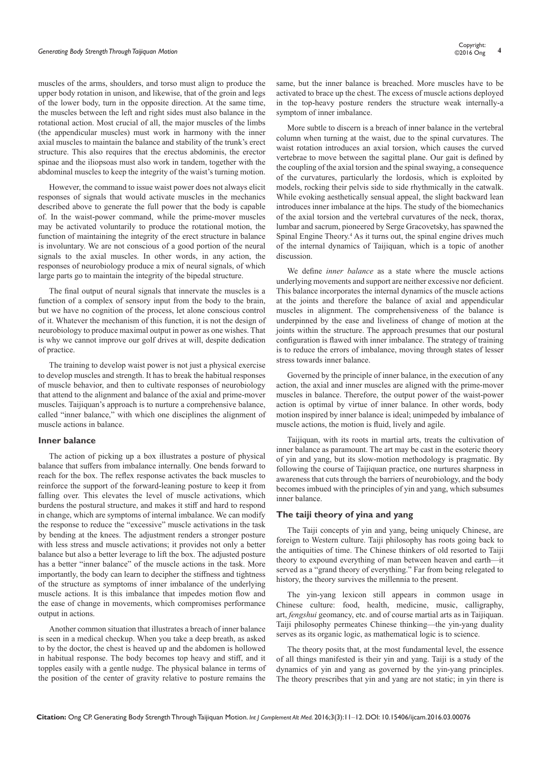muscles of the arms, shoulders, and torso must align to produce the upper body rotation in unison, and likewise, that of the groin and legs of the lower body, turn in the opposite direction. At the same time, the muscles between the left and right sides must also balance in the rotational action. Most crucial of all, the major muscles of the limbs (the appendicular muscles) must work in harmony with the inner axial muscles to maintain the balance and stability of the trunk's erect structure. This also requires that the erectus abdominis, the erector spinae and the iliopsoas must also work in tandem, together with the abdominal muscles to keep the integrity of the waist's turning motion.

However, the command to issue waist power does not always elicit responses of signals that would activate muscles in the mechanics described above to generate the full power that the body is capable of. In the waist-power command, while the prime-mover muscles may be activated voluntarily to produce the rotational motion, the function of maintaining the integrity of the erect structure in balance is involuntary. We are not conscious of a good portion of the neural signals to the axial muscles. In other words, in any action, the responses of neurobiology produce a mix of neural signals, of which large parts go to maintain the integrity of the bipedal structure.

The final output of neural signals that innervate the muscles is a function of a complex of sensory input from the body to the brain, but we have no cognition of the process, let alone conscious control of it. Whatever the mechanism of this function, it is not the design of neurobiology to produce maximal output in power as one wishes. That is why we cannot improve our golf drives at will, despite dedication of practice.

The training to develop waist power is not just a physical exercise to develop muscles and strength. It has to break the habitual responses of muscle behavior, and then to cultivate responses of neurobiology that attend to the alignment and balance of the axial and prime-mover muscles. Taijiquan's approach is to nurture a comprehensive balance, called "inner balance," with which one disciplines the alignment of muscle actions in balance.

### **Inner balance**

The action of picking up a box illustrates a posture of physical balance that suffers from imbalance internally. One bends forward to reach for the box. The reflex response activates the back muscles to reinforce the support of the forward-leaning posture to keep it from falling over. This elevates the level of muscle activations, which burdens the postural structure, and makes it stiff and hard to respond in change, which are symptoms of internal imbalance. We can modify the response to reduce the "excessive" muscle activations in the task by bending at the knees. The adjustment renders a stronger posture with less stress and muscle activations; it provides not only a better balance but also a better leverage to lift the box. The adjusted posture has a better "inner balance" of the muscle actions in the task. More importantly, the body can learn to decipher the stiffness and tightness of the structure as symptoms of inner imbalance of the underlying muscle actions. It is this imbalance that impedes motion flow and the ease of change in movements, which compromises performance output in actions.

Another common situation that illustrates a breach of inner balance is seen in a medical checkup. When you take a deep breath, as asked to by the doctor, the chest is heaved up and the abdomen is hollowed in habitual response. The body becomes top heavy and stiff, and it topples easily with a gentle nudge. The physical balance in terms of the position of the center of gravity relative to posture remains the

same, but the inner balance is breached. More muscles have to be activated to brace up the chest. The excess of muscle actions deployed in the top-heavy posture renders the structure weak internally-a symptom of inner imbalance.

More subtle to discern is a breach of inner balance in the vertebral column when turning at the waist, due to the spinal curvatures. The waist rotation introduces an axial torsion, which causes the curved vertebrae to move between the sagittal plane. Our gait is defined by the coupling of the axial torsion and the spinal swaying, a consequence of the curvatures, particularly the lordosis, which is exploited by models, rocking their pelvis side to side rhythmically in the catwalk. While evoking aesthetically sensual appeal, the slight backward lean introduces inner imbalance at the hips. The study of the biomechanics of the axial torsion and the vertebral curvatures of the neck, thorax, lumbar and sacrum, pioneered by Serge Gracovetsky, has spawned the Spinal Engine Theory.<sup>4</sup> As it turns out, the spinal engine drives much of the internal dynamics of Taijiquan, which is a topic of another discussion.

We define *inner balance* as a state where the muscle actions underlying movements and support are neither excessive nor deficient. This balance incorporates the internal dynamics of the muscle actions at the joints and therefore the balance of axial and appendicular muscles in alignment. The comprehensiveness of the balance is underpinned by the ease and liveliness of change of motion at the joints within the structure. The approach presumes that our postural configuration is flawed with inner imbalance. The strategy of training is to reduce the errors of imbalance, moving through states of lesser stress towards inner balance.

Governed by the principle of inner balance, in the execution of any action, the axial and inner muscles are aligned with the prime-mover muscles in balance. Therefore, the output power of the waist-power action is optimal by virtue of inner balance. In other words, body motion inspired by inner balance is ideal; unimpeded by imbalance of muscle actions, the motion is fluid, lively and agile.

Taijiquan, with its roots in martial arts, treats the cultivation of inner balance as paramount. The art may be cast in the esoteric theory of yin and yang, but its slow-motion methodology is pragmatic. By following the course of Taijiquan practice, one nurtures sharpness in awareness that cuts through the barriers of neurobiology, and the body becomes imbued with the principles of yin and yang, which subsumes inner balance.

### **The taiji theory of yina and yang**

The Taiji concepts of yin and yang, being uniquely Chinese, are foreign to Western culture. Taiji philosophy has roots going back to the antiquities of time. The Chinese thinkers of old resorted to Taiji theory to expound everything of man between heaven and earth—it served as a "grand theory of everything." Far from being relegated to history, the theory survives the millennia to the present.

The yin-yang lexicon still appears in common usage in Chinese culture: food, health, medicine, music, calligraphy, art, *fengshui* geomancy, etc. and of course martial arts as in Taijiquan. Taiji philosophy permeates Chinese thinking—the yin-yang duality serves as its organic logic, as mathematical logic is to science.

The theory posits that, at the most fundamental level, the essence of all things manifested is their yin and yang. Taiji is a study of the dynamics of yin and yang as governed by the yin-yang principles. The theory prescribes that yin and yang are not static; in yin there is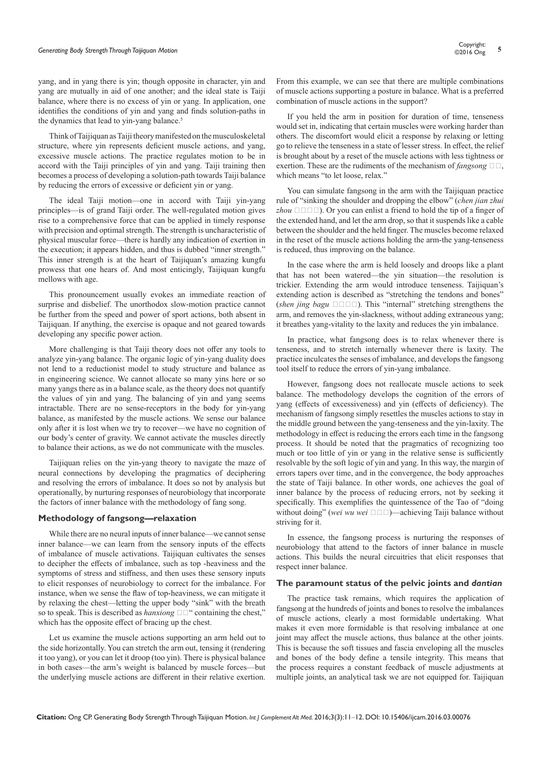# *Generating Body Strength Through Taijiquan Motion* **<sup>5</sup>** Copyright:

yang, and in yang there is yin; though opposite in character, yin and yang are mutually in aid of one another; and the ideal state is Taiji balance, where there is no excess of yin or yang. In application, one identifies the conditions of yin and yang and finds solution-paths in the dynamics that lead to yin-yang balance.<sup>5</sup>

Think of Taijiquan as Taiji theory manifested on the musculoskeletal structure, where yin represents deficient muscle actions, and yang, excessive muscle actions. The practice regulates motion to be in accord with the Taiji principles of yin and yang. Taiji training then becomes a process of developing a solution-path towards Taiji balance by reducing the errors of excessive or deficient yin or yang.

The ideal Taiji motion—one in accord with Taiji yin-yang principles—is of grand Taiji order. The well-regulated motion gives rise to a comprehensive force that can be applied in timely response with precision and optimal strength. The strength is uncharacteristic of physical muscular force—there is hardly any indication of exertion in the execution; it appears hidden, and thus is dubbed "inner strength." This inner strength is at the heart of Taijiquan's amazing kungfu prowess that one hears of. And most enticingly, Taijiquan kungfu mellows with age.

This pronouncement usually evokes an immediate reaction of surprise and disbelief. The unorthodox slow-motion practice cannot be further from the speed and power of sport actions, both absent in Taijiquan. If anything, the exercise is opaque and not geared towards developing any specific power action.

More challenging is that Taiji theory does not offer any tools to analyze yin-yang balance. The organic logic of yin-yang duality does not lend to a reductionist model to study structure and balance as in engineering science. We cannot allocate so many yins here or so many yangs there as in a balance scale, as the theory does not quantify the values of yin and yang. The balancing of yin and yang seems intractable. There are no sense-receptors in the body for yin-yang balance, as manifested by the muscle actions. We sense our balance only after it is lost when we try to recover—we have no cognition of our body's center of gravity. We cannot activate the muscles directly to balance their actions, as we do not communicate with the muscles.

Taijiquan relies on the yin-yang theory to navigate the maze of neural connections by developing the pragmatics of deciphering and resolving the errors of imbalance. It does so not by analysis but operationally, by nurturing responses of neurobiology that incorporate the factors of inner balance with the methodology of fang song.

### **Methodology of fangsong—relaxation**

While there are no neural inputs of inner balance—we cannot sense inner balance—we can learn from the sensory inputs of the effects of imbalance of muscle activations. Taijiquan cultivates the senses to decipher the effects of imbalance, such as top -heaviness and the symptoms of stress and stiffness, and then uses these sensory inputs to elicit responses of neurobiology to correct for the imbalance. For instance, when we sense the flaw of top-heaviness, we can mitigate it by relaxing the chest—letting the upper body "sink" with the breath so to speak. This is described as *hanxiong*  $\square \square$ " containing the chest," which has the opposite effect of bracing up the chest.

Let us examine the muscle actions supporting an arm held out to the side horizontally. You can stretch the arm out, tensing it (rendering it too yang), or you can let it droop (too yin). There is physical balance in both cases—the arm's weight is balanced by muscle forces—but the underlying muscle actions are different in their relative exertion.

From this example, we can see that there are multiple combinations of muscle actions supporting a posture in balance. What is a preferred combination of muscle actions in the support?

If you held the arm in position for duration of time, tenseness would set in, indicating that certain muscles were working harder than others. The discomfort would elicit a response by relaxing or letting go to relieve the tenseness in a state of lesser stress. In effect, the relief is brought about by a reset of the muscle actions with less tightness or exertion. These are the rudiments of the mechanism of *fangsong*  $\Box \Box$ , which means "to let loose, relax."

You can simulate fangsong in the arm with the Taijiquan practice rule of "sinking the shoulder and dropping the elbow" (*chen jian zhui*   $zhou \Box \Box \Box$ ). Or you can enlist a friend to hold the tip of a finger of the extended hand, and let the arm drop, so that it suspends like a cable between the shoulder and the held finger. The muscles become relaxed in the reset of the muscle actions holding the arm-the yang-tenseness is reduced, thus improving on the balance.

In the case where the arm is held loosely and droops like a plant that has not been watered—the yin situation—the resolution is trickier. Extending the arm would introduce tenseness. Taijiquan's extending action is described as "stretching the tendons and bones" (*shen jing bagu*  $\Box$  $\Box$  $\Box$ ). This "internal" stretching strengthens the arm, and removes the yin-slackness, without adding extraneous yang; it breathes yang-vitality to the laxity and reduces the yin imbalance.

In practice, what fangsong does is to relax whenever there is tenseness, and to stretch internally whenever there is laxity. The practice inculcates the senses of imbalance, and develops the fangsong tool itself to reduce the errors of yin-yang imbalance.

However, fangsong does not reallocate muscle actions to seek balance. The methodology develops the cognition of the errors of yang (effects of excessiveness) and yin (effects of deficiency). The mechanism of fangsong simply resettles the muscles actions to stay in the middle ground between the yang-tenseness and the yin-laxity. The methodology in effect is reducing the errors each time in the fangsong process. It should be noted that the pragmatics of recognizing too much or too little of yin or yang in the relative sense is sufficiently resolvable by the soft logic of yin and yang. In this way, the margin of errors tapers over time, and in the convergence, the body approaches the state of Taiji balance. In other words, one achieves the goal of inner balance by the process of reducing errors, not by seeking it specifically. This exemplifies the quintessence of the Tao of "doing without doing" (wei wu wei  $\square \square \square$ )—achieving Taiji balance without striving for it.

In essence, the fangsong process is nurturing the responses of neurobiology that attend to the factors of inner balance in muscle actions. This builds the neural circuitries that elicit responses that respect inner balance.

### **The paramount status of the pelvic joints and** *dantian*

The practice task remains, which requires the application of fangsong at the hundreds of joints and bones to resolve the imbalances of muscle actions, clearly a most formidable undertaking. What makes it even more formidable is that resolving imbalance at one joint may affect the muscle actions, thus balance at the other joints. This is because the soft tissues and fascia enveloping all the muscles and bones of the body define a tensile integrity. This means that the process requires a constant feedback of muscle adjustments at multiple joints, an analytical task we are not equipped for. Taijiquan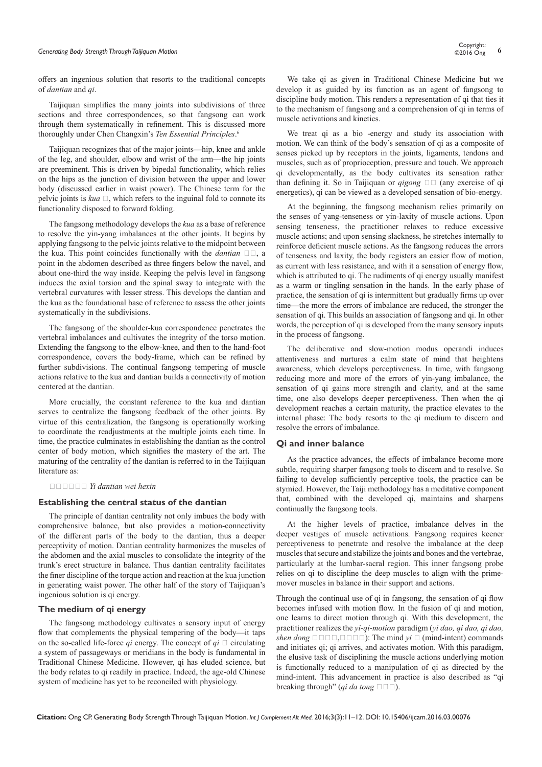# *Generating Body Strength Through Taijiquan Motion* **<sup>6</sup>** Copyright:

offers an ingenious solution that resorts to the traditional concepts of *dantian* and *qi*.

Taijiquan simplifies the many joints into subdivisions of three sections and three correspondences, so that fangsong can work through them systematically in refinement. This is discussed more thoroughly under Chen Changxin's *Ten Essential Principles*. 6

Taijiquan recognizes that of the major joints—hip, knee and ankle of the leg, and shoulder, elbow and wrist of the arm—the hip joints are preeminent. This is driven by bipedal functionality, which relies on the hips as the junction of division between the upper and lower body (discussed earlier in waist power). The Chinese term for the pelvic joints is  $kua \square$ , which refers to the inguinal fold to connote its functionality disposed to forward folding.

The fangsong methodology develops the *kua* as a base of reference to resolve the yin-yang imbalances at the other joints. It begins by applying fangsong to the pelvic joints relative to the midpoint between the kua. This point coincides functionally with the *dantian*  $\Box \Box$ , a point in the abdomen described as three fingers below the navel, and about one-third the way inside. Keeping the pelvis level in fangsong induces the axial torsion and the spinal sway to integrate with the vertebral curvatures with lesser stress. This develops the dantian and the kua as the foundational base of reference to assess the other joints systematically in the subdivisions.

The fangsong of the shoulder-kua correspondence penetrates the vertebral imbalances and cultivates the integrity of the torso motion. Extending the fangsong to the elbow-knee, and then to the hand-foot correspondence, covers the body-frame, which can be refined by further subdivisions. The continual fangsong tempering of muscle actions relative to the kua and dantian builds a connectivity of motion centered at the dantian.

More crucially, the constant reference to the kua and dantian serves to centralize the fangsong feedback of the other joints. By virtue of this centralization, the fangsong is operationally working to coordinate the readjustments at the multiple joints each time. In time, the practice culminates in establishing the dantian as the control center of body motion, which signifies the mastery of the art. The maturing of the centrality of the dantian is referred to in the Taijiquan literature as:

以丹田为核心 *Yi dantian wei hexin*

#### **Establishing the central status of the dantian**

The principle of dantian centrality not only imbues the body with comprehensive balance, but also provides a motion-connectivity of the different parts of the body to the dantian, thus a deeper perceptivity of motion. Dantian centrality harmonizes the muscles of the abdomen and the axial muscles to consolidate the integrity of the trunk's erect structure in balance. Thus dantian centrality facilitates the finer discipline of the torque action and reaction at the kua junction in generating waist power. The other half of the story of Taijiquan's ingenious solution is qi energy.

### **The medium of qi energy**

The fangsong methodology cultivates a sensory input of energy flow that complements the physical tempering of the body—it taps on the so-called life-force  $qi$  energy. The concept of  $qi \square$  circulating a system of passageways or meridians in the body is fundamental in Traditional Chinese Medicine. However, qi has eluded science, but the body relates to qi readily in practice. Indeed, the age-old Chinese system of medicine has yet to be reconciled with physiology.

We take qi as given in Traditional Chinese Medicine but we develop it as guided by its function as an agent of fangsong to discipline body motion. This renders a representation of qi that ties it to the mechanism of fangsong and a comprehension of qi in terms of muscle activations and kinetics.

We treat qi as a bio -energy and study its association with motion. We can think of the body's sensation of qi as a composite of senses picked up by receptors in the joints, ligaments, tendons and muscles, such as of proprioception, pressure and touch. We approach qi developmentally, as the body cultivates its sensation rather than defining it. So in Taijiquan or *qigong*  $\Box$  (any exercise of qi energetics), qi can be viewed as a developed sensation of bio-energy.

At the beginning, the fangsong mechanism relies primarily on the senses of yang-tenseness or yin-laxity of muscle actions. Upon sensing tenseness, the practitioner relaxes to reduce excessive muscle actions; and upon sensing slackness, he stretches internally to reinforce deficient muscle actions. As the fangsong reduces the errors of tenseness and laxity, the body registers an easier flow of motion, as current with less resistance, and with it a sensation of energy flow, which is attributed to qi. The rudiments of qi energy usually manifest as a warm or tingling sensation in the hands. In the early phase of practice, the sensation of qi is intermittent but gradually firms up over time—the more the errors of imbalance are reduced, the stronger the sensation of qi. This builds an association of fangsong and qi. In other words, the perception of qi is developed from the many sensory inputs in the process of fangsong.

The deliberative and slow-motion modus operandi induces attentiveness and nurtures a calm state of mind that heightens awareness, which develops perceptiveness. In time, with fangsong reducing more and more of the errors of yin-yang imbalance, the sensation of qi gains more strength and clarity, and at the same time, one also develops deeper perceptiveness. Then when the qi development reaches a certain maturity, the practice elevates to the internal phase: The body resorts to the qi medium to discern and resolve the errors of imbalance.

#### **Qi and inner balance**

As the practice advances, the effects of imbalance become more subtle, requiring sharper fangsong tools to discern and to resolve. So failing to develop sufficiently perceptive tools, the practice can be stymied. However, the Taiji methodology has a meditative component that, combined with the developed qi, maintains and sharpens continually the fangsong tools.

At the higher levels of practice, imbalance delves in the deeper vestiges of muscle activations. Fangsong requires keener perceptiveness to penetrate and resolve the imbalance at the deep muscles that secure and stabilize the joints and bones and the vertebrae, particularly at the lumbar-sacral region. This inner fangsong probe relies on qi to discipline the deep muscles to align with the primemover muscles in balance in their support and actions.

Through the continual use of qi in fangsong, the sensation of qi flow becomes infused with motion flow. In the fusion of qi and motion, one learns to direct motion through qi. With this development, the practitioner realizes the *yi-qi-motion* paradigm (*yi dao, qi dao, qi dao, shen dong*  $\square\square\square\square\square\square\square$ ): The mind *yi*  $\square$  (mind-intent) commands and initiates qi; qi arrives, and activates motion. With this paradigm, the elusive task of disciplining the muscle actions underlying motion is functionally reduced to a manipulation of qi as directed by the mind-intent. This advancement in practice is also described as "qi breaking through" (*qi da tong*  $\square \square \square$ ).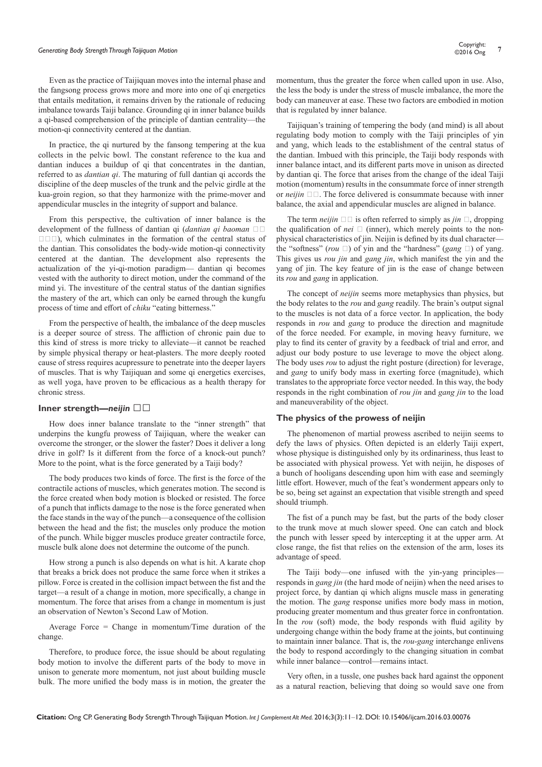# *Generating Body Strength Through Taijiquan Motion* **<sup>7</sup>** Copyright:

Even as the practice of Taijiquan moves into the internal phase and the fangsong process grows more and more into one of qi energetics that entails meditation, it remains driven by the rationale of reducing imbalance towards Taiji balance. Grounding qi in inner balance builds a qi-based comprehension of the principle of dantian centrality—the motion-qi connectivity centered at the dantian.

In practice, the qi nurtured by the fansong tempering at the kua collects in the pelvic bowl. The constant reference to the kua and dantian induces a buildup of qi that concentrates in the dantian, referred to as *dantian qi*. The maturing of full dantian qi accords the discipline of the deep muscles of the trunk and the pelvic girdle at the kua-groin region, so that they harmonize with the prime-mover and appendicular muscles in the integrity of support and balance.

From this perspective, the cultivation of inner balance is the development of the fullness of dantian qi (*dantian qi baoman*  $\square$  $\Box$  $\Box$ ), which culminates in the formation of the central status of the dantian. This consolidates the body-wide motion-qi connectivity centered at the dantian. The development also represents the actualization of the yi-qi-motion paradigm— dantian qi becomes vested with the authority to direct motion, under the command of the mind yi. The investiture of the central status of the dantian signifies the mastery of the art, which can only be earned through the kungfu process of time and effort of *chiku* "eating bitterness."

From the perspective of health, the imbalance of the deep muscles is a deeper source of stress. The affliction of chronic pain due to this kind of stress is more tricky to alleviate—it cannot be reached by simple physical therapy or heat-plasters. The more deeply rooted cause of stress requires acupressure to penetrate into the deeper layers of muscles. That is why Taijiquan and some qi energetics exercises, as well yoga, have proven to be efficacious as a health therapy for chronic stress.

### **Inner strength—neijin** □□

How does inner balance translate to the "inner strength" that underpins the kungfu prowess of Taijiquan, where the weaker can overcome the stronger, or the slower the faster? Does it deliver a long drive in golf? Is it different from the force of a knock-out punch? More to the point, what is the force generated by a Taiji body?

The body produces two kinds of force. The first is the force of the contractile actions of muscles, which generates motion. The second is the force created when body motion is blocked or resisted. The force of a punch that inflicts damage to the nose is the force generated when the face stands in the way of the punch—a consequence of the collision between the head and the fist; the muscles only produce the motion of the punch. While bigger muscles produce greater contractile force, muscle bulk alone does not determine the outcome of the punch.

How strong a punch is also depends on what is hit. A karate chop that breaks a brick does not produce the same force when it strikes a pillow. Force is created in the collision impact between the fist and the target—a result of a change in motion, more specifically, a change in momentum. The force that arises from a change in momentum is just an observation of Newton's Second Law of Motion.

Average Force = Change in momentum/Time duration of the change.

Therefore, to produce force, the issue should be about regulating body motion to involve the different parts of the body to move in unison to generate more momentum, not just about building muscle bulk. The more unified the body mass is in motion, the greater the momentum, thus the greater the force when called upon in use. Also, the less the body is under the stress of muscle imbalance, the more the body can maneuver at ease. These two factors are embodied in motion that is regulated by inner balance.

Taijiquan's training of tempering the body (and mind) is all about regulating body motion to comply with the Taiji principles of yin and yang, which leads to the establishment of the central status of the dantian. Imbued with this principle, the Taiji body responds with inner balance intact, and its different parts move in unison as directed by dantian qi. The force that arises from the change of the ideal Taiji motion (momentum) results in the consummate force of inner strength or  $neijin \Box$ . The force delivered is consummate because with inner balance, the axial and appendicular muscles are aligned in balance.

The term *neijin*  $\Box$  is often referred to simply as *jin*  $\Box$ , dropping the qualification of *nei*  $\Box$  (inner), which merely points to the nonphysical characteristics of jin. Neijin is defined by its dual character the "softness" ( $rou \Box$ ) of yin and the "hardness" ( $gang \Box$ ) of yang. This gives us *rou jin* and *gang jin*, which manifest the yin and the yang of jin. The key feature of jin is the ease of change between its *rou* and *gang* in application.

The concept of *neijin* seems more metaphysics than physics, but the body relates to the *rou* and *gang* readily. The brain's output signal to the muscles is not data of a force vector. In application, the body responds in *rou* and *gang* to produce the direction and magnitude of the force needed. For example, in moving heavy furniture, we play to find its center of gravity by a feedback of trial and error, and adjust our body posture to use leverage to move the object along. The body uses *rou* to adjust the right posture (direction) for leverage, and *gang* to unify body mass in exerting force (magnitude), which translates to the appropriate force vector needed. In this way, the body responds in the right combination of *rou jin* and *gang jin* to the load and maneuverability of the object.

#### **The physics of the prowess of neijin**

The phenomenon of martial prowess ascribed to neijin seems to defy the laws of physics. Often depicted is an elderly Taiji expert, whose physique is distinguished only by its ordinariness, thus least to be associated with physical prowess. Yet with neijin, he disposes of a bunch of hooligans descending upon him with ease and seemingly little effort. However, much of the feat's wonderment appears only to be so, being set against an expectation that visible strength and speed should triumph.

The fist of a punch may be fast, but the parts of the body closer to the trunk move at much slower speed. One can catch and block the punch with lesser speed by intercepting it at the upper arm. At close range, the fist that relies on the extension of the arm, loses its advantage of speed.

The Taiji body—one infused with the yin-yang principles responds in *gang jin* (the hard mode of neijin) when the need arises to project force, by dantian qi which aligns muscle mass in generating the motion. The *gang* response unifies more body mass in motion, producing greater momentum and thus greater force in confrontation. In the *rou* (soft) mode, the body responds with fluid agility by undergoing change within the body frame at the joints, but continuing to maintain inner balance. That is, the *rou-gang* interchange enlivens the body to respond accordingly to the changing situation in combat while inner balance—control—remains intact.

Very often, in a tussle, one pushes back hard against the opponent as a natural reaction, believing that doing so would save one from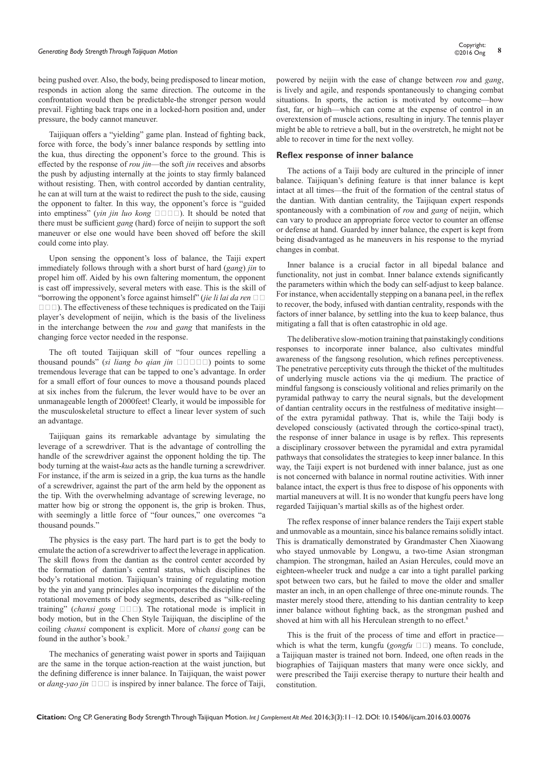# *Generating Body Strength Through Taijiquan Motion* **<sup>8</sup>** Copyright:

being pushed over. Also, the body, being predisposed to linear motion, responds in action along the same direction. The outcome in the confrontation would then be predictable-the stronger person would prevail. Fighting back traps one in a locked-horn position and, under pressure, the body cannot maneuver.

Taijiquan offers a "yielding" game plan. Instead of fighting back, force with force, the body's inner balance responds by settling into the kua, thus directing the opponent's force to the ground. This is effected by the response of *rou jin*—the soft *jin* receives and absorbs the push by adjusting internally at the joints to stay firmly balanced without resisting. Then, with control accorded by dantian centrality, he can at will turn at the waist to redirect the push to the side, causing the opponent to falter. In this way, the opponent's force is "guided into emptiness" (*yin jin luo kong*  $\square \square \square$ ). It should be noted that there must be sufficient *gang* (hard) force of neijin to support the soft maneuver or else one would have been shoved off before the skill could come into play.

Upon sensing the opponent's loss of balance, the Taiji expert immediately follows through with a short burst of hard (*gang*) *jin* to propel him off. Aided by his own faltering momentum, the opponent is cast off impressively, several meters with ease. This is the skill of "borrowing the opponent's force against himself" (*jie li lai da ren*  $\square$  $\square \square \square$ ). The effectiveness of these techniques is predicated on the Taiji player's development of neijin, which is the basis of the liveliness in the interchange between the *rou* and *gang* that manifests in the changing force vector needed in the response.

The oft touted Taijiquan skill of "four ounces repelling a thousand pounds" (*si liang bo qian jin* □□□□] points to some tremendous leverage that can be tapped to one's advantage. In order for a small effort of four ounces to move a thousand pounds placed at six inches from the fulcrum, the lever would have to be over an unmanageable length of 2000feet! Clearly, it would be impossible for the musculoskeletal structure to effect a linear lever system of such an advantage.

Taijiquan gains its remarkable advantage by simulating the leverage of a screwdriver. That is the advantage of controlling the handle of the screwdriver against the opponent holding the tip. The body turning at the waist-*kua* acts as the handle turning a screwdriver. For instance, if the arm is seized in a grip, the kua turns as the handle of a screwdriver, against the part of the arm held by the opponent as the tip. With the overwhelming advantage of screwing leverage, no matter how big or strong the opponent is, the grip is broken. Thus, with seemingly a little force of "four ounces," one overcomes "a thousand pounds."

The physics is the easy part. The hard part is to get the body to emulate the action of a screwdriver to affect the leverage in application. The skill flows from the dantian as the control center accorded by the formation of dantian's central status, which disciplines the body's rotational motion. Taijiquan's training of regulating motion by the yin and yang principles also incorporates the discipline of the rotational movements of body segments, described as "silk-reeling training" (*chansi gong*  $\square \square \square$ ). The rotational mode is implicit in body motion, but in the Chen Style Taijiquan, the discipline of the coiling *chansi* component is explicit. More of *chansi gong* can be found in the author's book.7

The mechanics of generating waist power in sports and Taijiquan are the same in the torque action-reaction at the waist junction, but the defining difference is inner balance. In Taijiquan, the waist power or *dang-yao jin*  $\Box$   $\Box$  is inspired by inner balance. The force of Taiji, powered by neijin with the ease of change between *rou* and *gang*, is lively and agile, and responds spontaneously to changing combat situations. In sports, the action is motivated by outcome—how fast, far, or high—which can come at the expense of control in an overextension of muscle actions, resulting in injury. The tennis player might be able to retrieve a ball, but in the overstretch, he might not be able to recover in time for the next volley.

### **Reflex response of inner balance**

The actions of a Taiji body are cultured in the principle of inner balance. Taijiquan's defining feature is that inner balance is kept intact at all times—the fruit of the formation of the central status of the dantian. With dantian centrality, the Taijiquan expert responds spontaneously with a combination of *rou* and *gang* of neijin, which can vary to produce an appropriate force vector to counter an offense or defense at hand. Guarded by inner balance, the expert is kept from being disadvantaged as he maneuvers in his response to the myriad changes in combat.

Inner balance is a crucial factor in all bipedal balance and functionality, not just in combat. Inner balance extends significantly the parameters within which the body can self-adjust to keep balance. For instance, when accidentally stepping on a banana peel, in the reflex to recover, the body, infused with dantian centrality, responds with the factors of inner balance, by settling into the kua to keep balance, thus mitigating a fall that is often catastrophic in old age.

The deliberative slow-motion training that painstakingly conditions responses to incorporate inner balance, also cultivates mindful awareness of the fangsong resolution, which refines perceptiveness. The penetrative perceptivity cuts through the thicket of the multitudes of underlying muscle actions via the qi medium. The practice of mindful fangsong is consciously volitional and relies primarily on the pyramidal pathway to carry the neural signals, but the development of dantian centrality occurs in the restfulness of meditative insight of the extra pyramidal pathway. That is, while the Taiji body is developed consciously (activated through the cortico-spinal tract), the response of inner balance in usage is by reflex. This represents a disciplinary crossover between the pyramidal and extra pyramidal pathways that consolidates the strategies to keep inner balance. In this way, the Taiji expert is not burdened with inner balance, just as one is not concerned with balance in normal routine activities. With inner balance intact, the expert is thus free to dispose of his opponents with martial maneuvers at will. It is no wonder that kungfu peers have long regarded Taijiquan's martial skills as of the highest order.

The reflex response of inner balance renders the Taiji expert stable and unmovable as a mountain, since his balance remains solidly intact. This is dramatically demonstrated by Grandmaster Chen Xiaowang who stayed unmovable by Longwu, a two-time Asian strongman champion. The strongman, hailed an Asian Hercules, could move an eighteen-wheeler truck and nudge a car into a tight parallel parking spot between two cars, but he failed to move the older and smaller master an inch, in an open challenge of three one-minute rounds. The master merely stood there, attending to his dantian centrality to keep inner balance without fighting back, as the strongman pushed and shoved at him with all his Herculean strength to no effect.<sup>8</sup>

This is the fruit of the process of time and effort in practice which is what the term, kungfu  $(gongfu \Box \Box)$  means. To conclude, a Taijiquan master is trained not born. Indeed, one often reads in the biographies of Taijiquan masters that many were once sickly, and were prescribed the Taiji exercise therapy to nurture their health and constitution.